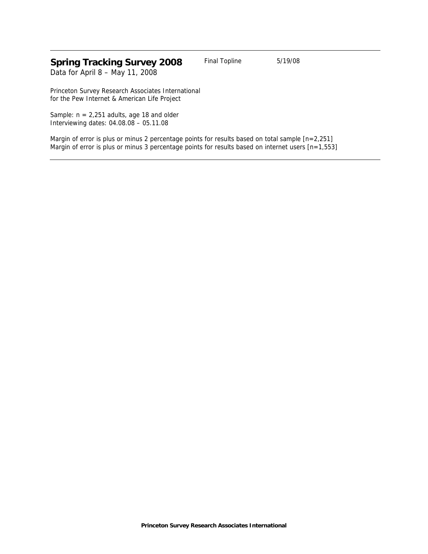# **Spring Tracking Survey 2008** Final Topline 5/19/08

Data for April 8 – May 11, 2008

Princeton Survey Research Associates International for the Pew Internet & American Life Project

Sample:  $n = 2,251$  adults, age 18 and older Interviewing dates: 04.08.08 – 05.11.08

Margin of error is plus or minus 2 percentage points for results based on total sample [n=2,251] Margin of error is plus or minus 3 percentage points for results based on internet users [n=1,553]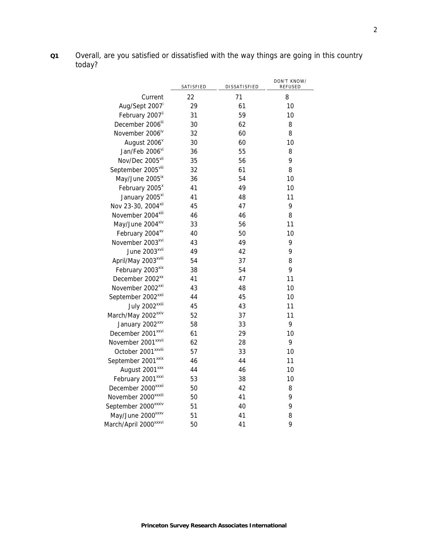**Q1** Overall, are you satisfied or dissatisfied with the way things are going in this country today?

|                                   | SATISFIED | DISSATISFIED | DON'T KNOW/<br>REFUSED |
|-----------------------------------|-----------|--------------|------------------------|
| Current                           | 22        | 71           | 8                      |
| Aug/Sept 2007 <sup>i</sup>        | 29        | 61           | 10                     |
| February 2007 <sup>ii</sup>       | 31        | 59           | 10                     |
| December 2006 <sup>iii</sup>      | 30        | 62           | 8                      |
| November 2006 <sup>iv</sup>       | 32        | 60           | 8                      |
| August 2006 <sup>v</sup>          | 30        | 60           | 10                     |
| Jan/Feb 2006vi                    | 36        | 55           | 8                      |
| Nov/Dec 2005vii                   | 35        | 56           | 9                      |
| September 2005 <sup>viii</sup>    | 32        | 61           | 8                      |
| May/June 2005 <sup>ix</sup>       | 36        | 54           | 10                     |
| February 2005 <sup>x</sup>        | 41        | 49           | 10                     |
| January 2005 <sup>xi</sup>        | 41        | 48           | 11                     |
| Nov 23-30, 2004 <sup>xii</sup>    | 45        | 47           | 9                      |
| November 2004 <sup>xiii</sup>     | 46        | 46           | 8                      |
| May/June 2004*iv                  | 33        | 56           | 11                     |
| February 2004 <sup>xv</sup>       | 40        | 50           | 10                     |
| November 2003 <sup>xvi</sup>      | 43        | 49           | 9                      |
| June 2003 <sup>xvii</sup>         | 49        | 42           | 9                      |
| April/May 2003 <sup>xviii</sup>   | 54        | 37           | 8                      |
| February 2003 <sup>xix</sup>      | 38        | 54           | 9                      |
| December 2002 <sup>xx</sup>       | 41        | 47           | 11                     |
| November 2002 <sup>xxi</sup>      | 43        | 48           | 10                     |
| September 2002 <sup>xxii</sup>    | 44        | 45           | 10                     |
| July 2002 <sup>xxiii</sup>        | 45        | 43           | 11                     |
| March/May 2002 <sup>xxiv</sup>    | 52        | 37           | 11                     |
| January 2002 <sup>xxv</sup>       | 58        | 33           | 9                      |
| December 2001 <sup>xxvi</sup>     | 61        | 29           | 10                     |
| November 2001 <sup>xxvii</sup>    | 62        | 28           | 9                      |
| October 2001 <sup>xxviii</sup>    | 57        | 33           | 10                     |
| September 2001 <sup>xxix</sup>    | 46        | 44           | 11                     |
| August 2001 <sup>xxx</sup>        | 44        | 46           | 10                     |
| February 2001 <sup>xxxi</sup>     | 53        | 38           | 10                     |
| December 2000 <sup>xxxii</sup>    | 50        | 42           | 8                      |
| November 2000 <sup>xxxiii</sup>   | 50        | 41           | 9                      |
| September 2000 <sup>xxxiv</sup>   | 51        | 40           | 9                      |
| May/June 2000 <sup>xxxv</sup>     | 51        | 41           | 8                      |
| March/April 2000 <sup>xxxvi</sup> | 50        | 41           | 9                      |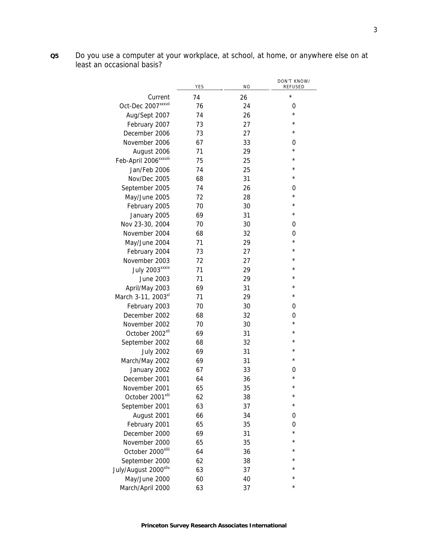**Q5** Do you use a computer at your workplace, at school, at home, or anywhere else on at least an occasional basis?

|                                   | YES | N <sub>O</sub> | DON'T KNOW/<br>REFUSED |
|-----------------------------------|-----|----------------|------------------------|
| Current                           | 74  | 26             | $\star$                |
| Oct-Dec 2007 <sup>xxxvii</sup>    | 76  | 24             | 0                      |
| Aug/Sept 2007                     | 74  | 26             | $\star$                |
| February 2007                     | 73  | 27             | $\star$                |
| December 2006                     | 73  | 27             | $\star$                |
| November 2006                     | 67  | 33             | 0                      |
| August 2006                       | 71  | 29             | $\star$                |
| Feb-April 2006 <sup>xxxviii</sup> | 75  | 25             | $^\star$               |
| Jan/Feb 2006                      | 74  | 25             | $\star$                |
| Nov/Dec 2005                      | 68  | 31             | $^\star$               |
| September 2005                    | 74  | 26             | 0                      |
| May/June 2005                     | 72  | 28             | $\star$                |
| February 2005                     | 70  | 30             | $\star$                |
| January 2005                      | 69  | 31             | $^\star$               |
| Nov 23-30, 2004                   | 70  | 30             | 0                      |
| November 2004                     | 68  | 32             | 0                      |
| May/June 2004                     | 71  | 29             | $^\star$               |
| February 2004                     | 73  | 27             | $\star$                |
| November 2003                     | 72  | 27             | $\star$                |
| July 2003 <sup>xxxix</sup>        | 71  | 29             | $^{\star}$             |
| June 2003                         | 71  | 29             | $\star$                |
| April/May 2003                    | 69  | 31             | $\star$                |
| March 3-11, 2003 <sup>xl</sup>    | 71  | 29             | $^\star$               |
| February 2003                     | 70  | 30             | 0                      |
| December 2002                     | 68  | 32             | 0                      |
| November 2002                     | 70  | 30             | $^\star$               |
| October 2002 <sup>xli</sup>       | 69  | 31             | $\star$                |
| September 2002                    | 68  | 32             | $^\star$               |
| <b>July 2002</b>                  | 69  | 31             | $\star$                |
| March/May 2002                    | 69  | 31             | $^\star$               |
| January 2002                      | 67  | 33             | 0                      |
| December 2001                     | 64  | 36             | $\star$                |
| November 2001                     | 65  | 35             | $\star$                |
| October 2001 <sup>xlii</sup>      | 62  | 38             | $^\star$               |
| September 2001                    | 63  | 37             | $^\star$               |
| August 2001                       | 66  | 34             | 0                      |
| February 2001                     | 65  | 35             | 0                      |
| December 2000                     | 69  | 31             | $\star$                |
| November 2000                     | 65  | 35             | $^{\star}$             |
| October 2000 <sup>xliii</sup>     | 64  | 36             | $^{\star}$             |
| September 2000                    | 62  | 38             | $^{\star}$             |
| July/August 2000 <sup>xliv</sup>  | 63  | 37             | $^{\star}$             |
| May/June 2000                     | 60  | 40             | $\star$                |
| March/April 2000                  | 63  | 37             | $^\star$               |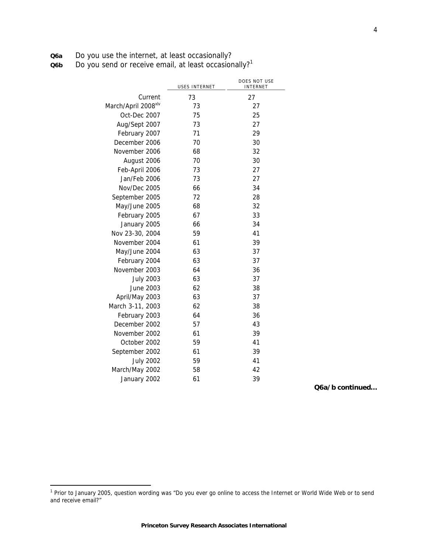| <b>Q6a</b> |  |  |  | Do you use the internet, at least occasionally? |
|------------|--|--|--|-------------------------------------------------|
|------------|--|--|--|-------------------------------------------------|

**Q6b** Do you send or receive email, at least occasionally?<sup>1</sup>

|                                 | USES INTERNET | DOES NOT USE<br>INTERNET |
|---------------------------------|---------------|--------------------------|
| Current                         | 73            | 27                       |
| March/April 2008 <sup>xlv</sup> | 73            | 27                       |
| Oct-Dec 2007                    | 75            | 25                       |
| Aug/Sept 2007                   | 73            | 27                       |
| February 2007                   | 71            | 29                       |
| December 2006                   | 70            | 30                       |
| November 2006                   | 68            | 32                       |
| August 2006                     | 70            | 30                       |
| Feb-April 2006                  | 73            | 27                       |
| Jan/Feb 2006                    | 73            | 27                       |
| Nov/Dec 2005                    | 66            | 34                       |
| September 2005                  | 72            | 28                       |
| May/June 2005                   | 68            | 32                       |
| February 2005                   | 67            | 33                       |
| January 2005                    | 66            | 34                       |
| Nov 23-30, 2004                 | 59            | 41                       |
| November 2004                   | 61            | 39                       |
| May/June 2004                   | 63            | 37                       |
| February 2004                   | 63            | 37                       |
| November 2003                   | 64            | 36                       |
| <b>July 2003</b>                | 63            | 37                       |
| June 2003                       | 62            | 38                       |
| April/May 2003                  | 63            | 37                       |
| March 3-11, 2003                | 62            | 38                       |
| February 2003                   | 64            | 36                       |
| December 2002                   | 57            | 43                       |
| November 2002                   | 61            | 39                       |
| October 2002                    | 59            | 41                       |
| September 2002                  | 61            | 39                       |
| <b>July 2002</b>                | 59            | 41                       |
| March/May 2002                  | 58            | 42                       |
| January 2002                    | 61            | 39                       |

**Q6a/b continued…**

 1 Prior to January 2005, question wording was "Do you ever go online to access the Internet or World Wide Web or to send and receive email?"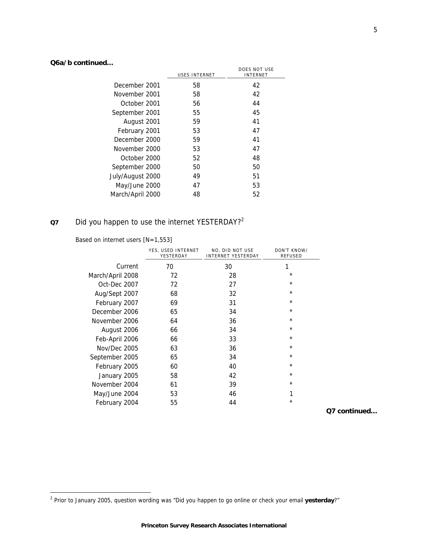# **Q6a/b continued…**

|                  |                      | DOES NOT USE    |
|------------------|----------------------|-----------------|
|                  | <b>USES INTERNET</b> | <b>INTERNET</b> |
| December 2001    | 58                   | 42              |
| November 2001    | 58                   | 42              |
| October 2001     | 56                   | 44              |
| September 2001   | 55                   | 45              |
| August 2001      | 59                   | 41              |
| February 2001    | 53                   | 47              |
| December 2000    | 59                   | 41              |
| November 2000    | 53                   | 47              |
| October 2000     | 52                   | 48              |
| September 2000   | 50                   | 50              |
| July/August 2000 | 49                   | 51              |
| May/June 2000    | 47                   | 53              |
| March/April 2000 | 48                   | 52              |
|                  |                      |                 |

# **Q7** Did you happen to use the internet YESTERDAY?2

Based on internet users [N=1,553]

|                  | YES, USED INTERNET<br>YESTERDAY | NO, DID NOT USE<br><b>INTERNET YESTERDAY</b> | DON'T KNOW/<br><b>REFUSED</b> |
|------------------|---------------------------------|----------------------------------------------|-------------------------------|
| Current          | 70                              | 30                                           | 1                             |
| March/April 2008 | 72                              | 28                                           | *                             |
| Oct-Dec 2007     | 72                              | 27                                           | $\star$                       |
| Aug/Sept 2007    | 68                              | 32                                           | $\star$                       |
| February 2007    | 69                              | 31                                           | $\star$                       |
| December 2006    | 65                              | 34                                           | $\star$                       |
| November 2006    | 64                              | 36                                           | $\star$                       |
| August 2006      | 66                              | 34                                           | $\star$                       |
| Feb-April 2006   | 66                              | 33                                           | $\star$                       |
| Nov/Dec 2005     | 63                              | 36                                           | $\star$                       |
| September 2005   | 65                              | 34                                           | $\star$                       |
| February 2005    | 60                              | 40                                           | $\star$                       |
| January 2005     | 58                              | 42                                           | $\star$                       |
| November 2004    | 61                              | 39                                           | $\star$                       |
| May/June 2004    | 53                              | 46                                           | 1                             |
| February 2004    | 55                              | 44                                           | $^\star$                      |

**Q7 continued…**

 2 Prior to January 2005, question wording was "Did you happen to go online or check your email **yesterday**?"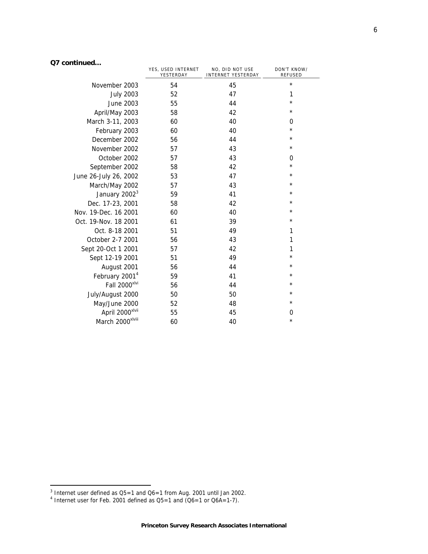# **Q7 continued…**

|                              | YES, USED INTERNET<br>YESTERDAY | NO, DID NOT USE<br><b>INTERNET YESTERDAY</b> | DON'T KNOW/<br><b>REFUSED</b> |
|------------------------------|---------------------------------|----------------------------------------------|-------------------------------|
| November 2003                | 54                              | 45                                           | $\star$                       |
| <b>July 2003</b>             | 52                              | 47                                           | 1                             |
| June 2003                    | 55                              | 44                                           | $\star$                       |
| April/May 2003               | 58                              | 42                                           | $^\star$                      |
| March 3-11, 2003             | 60                              | 40                                           | 0                             |
| February 2003                | 60                              | 40                                           | $^\star$                      |
| December 2002                | 56                              | 44                                           | $^\star$                      |
| November 2002                | 57                              | 43                                           | $^\star$                      |
| October 2002                 | 57                              | 43                                           | 0                             |
| September 2002               | 58                              | 42                                           | $^\star$                      |
| June 26-July 26, 2002        | 53                              | 47                                           | $^\star$                      |
| March/May 2002               | 57                              | 43                                           | $^\star$                      |
| January 2002 <sup>3</sup>    | 59                              | 41                                           | $^\star$                      |
| Dec. 17-23, 2001             | 58                              | 42                                           | $^\star$                      |
| Nov. 19-Dec. 16 2001         | 60                              | 40                                           | ¥                             |
| Oct. 19-Nov. 18 2001         | 61                              | 39                                           | $^\star$                      |
| Oct. 8-18 2001               | 51                              | 49                                           | 1                             |
| October 2-7 2001             | 56                              | 43                                           | 1                             |
| Sept 20-Oct 1 2001           | 57                              | 42                                           | 1                             |
| Sept 12-19 2001              | 51                              | 49                                           | $^\star$                      |
| August 2001                  | 56                              | 44                                           | $^\star$                      |
| February 2001 <sup>4</sup>   | 59                              | 41                                           | $^\star$                      |
| Fall 2000 <sup>xlvi</sup>    | 56                              | 44                                           | *                             |
| July/August 2000             | 50                              | 50                                           | $\star$                       |
| May/June 2000                | 52                              | 48                                           | $^\star$                      |
| April 2000 <sup>xlvii</sup>  | 55                              | 45                                           | 0                             |
| March 2000 <sup>xlviii</sup> | 60                              | 40                                           | $^\star$                      |

 $^3$  Internet user defined as Q5=1 and Q6=1 from Aug. 2001 until Jan 2002.<br> $^4$  Internet user for Feb. 2001 defined as Q5=1 and (Q6=1 or Q6A=1-7).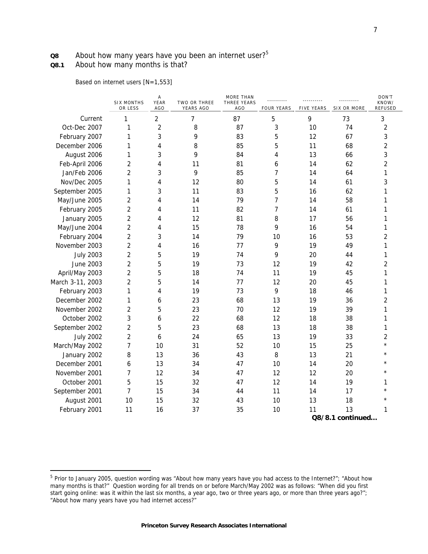# **Q8** About how many years have you been an internet user?<sup>5</sup>

# **Q8.1** About how many months is that?

j

Based on internet users [N=1,553]

|                  |                  | <b>SIX MONTHS</b><br>OR LESS | Α<br>YEAR<br>AGO | TWO OR THREE<br>YEARS AGO | <b>MORE THAN</b><br>THREE YEARS<br>AGO | <br><b>FOUR YEARS</b> | <b>FIVE YEARS</b> | SIX OR MORE      | DON'T<br>KNOW/<br><b>REFUSED</b> |
|------------------|------------------|------------------------------|------------------|---------------------------|----------------------------------------|-----------------------|-------------------|------------------|----------------------------------|
|                  | Current          | 1                            | $\overline{2}$   | 7                         | 87                                     | 5                     | 9                 | 73               | 3                                |
| Oct-Dec 2007     |                  | 1                            | $\overline{2}$   | 8                         | 87                                     | 3                     | 10                | 74               | $\overline{2}$                   |
| February 2007    |                  | 1                            | 3                | 9                         | 83                                     | 5                     | 12                | 67               | 3                                |
| December 2006    |                  | 1                            | 4                | 8                         | 85                                     | 5                     | 11                | 68               | $\overline{2}$                   |
| August 2006      |                  | 1                            | 3                | 9                         | 84                                     | 4                     | 13                | 66               | 3                                |
| Feb-April 2006   |                  | $\overline{2}$               | 4                | 11                        | 81                                     | 6                     | 14                | 62               | 2                                |
| Jan/Feb 2006     |                  | 2                            | 3                | 9                         | 85                                     | 7                     | 14                | 64               | 1                                |
| Nov/Dec 2005     |                  | 1                            | 4                | 12                        | 80                                     | 5                     | 14                | 61               | 3                                |
| September 2005   |                  | 1                            | 3                | 11                        | 83                                     | 5                     | 16                | 62               | 1                                |
| May/June 2005    |                  | $\overline{2}$               | 4                | 14                        | 79                                     | $\overline{7}$        | 14                | 58               | 1                                |
| February 2005    |                  | $\overline{2}$               | 4                | 11                        | 82                                     | 7                     | 14                | 61               | 1                                |
| January 2005     |                  | $\overline{2}$               | 4                | 12                        | 81                                     | 8                     | 17                | 56               | 1                                |
| May/June 2004    |                  | $\overline{c}$               | 4                | 15                        | 78                                     | 9                     | 16                | 54               | 1                                |
| February 2004    |                  | $\overline{2}$               | 3                | 14                        | 79                                     | 10                    | 16                | 53               | $\overline{2}$                   |
| November 2003    |                  | 2                            | 4                | 16                        | 77                                     | 9                     | 19                | 49               | 1                                |
|                  | <b>July 2003</b> | $\overline{c}$               | 5                | 19                        | 74                                     | 9                     | 20                | 44               | 1                                |
|                  | <b>June 2003</b> | $\overline{2}$               | 5                | 19                        | 73                                     | 12                    | 19                | 42               | $\overline{2}$                   |
| April/May 2003   |                  | $\overline{c}$               | 5                | 18                        | 74                                     | 11                    | 19                | 45               | 1                                |
| March 3-11, 2003 |                  | 2                            | 5                | 14                        | 77                                     | 12                    | 20                | 45               | 1                                |
| February 2003    |                  | 1                            | 4                | 19                        | 73                                     | 9                     | 18                | 46               | 1                                |
| December 2002    |                  | 1                            | 6                | 23                        | 68                                     | 13                    | 19                | 36               | $\overline{c}$                   |
| November 2002    |                  | 2                            | 5                | 23                        | 70                                     | 12                    | 19                | 39               | 1                                |
| October 2002     |                  | 3                            | 6                | 22                        | 68                                     | 12                    | 18                | 38               | 1                                |
| September 2002   |                  | 2                            | 5                | 23                        | 68                                     | 13                    | 18                | 38               | 1                                |
|                  | <b>July 2002</b> | $\overline{c}$               | 6                | 24                        | 65                                     | 13                    | 19                | 33               | $\overline{2}$                   |
| March/May 2002   |                  | 7                            | 10               | 31                        | 52                                     | 10                    | 15                | 25               | $\star$                          |
| January 2002     |                  | 8                            | 13               | 36                        | 43                                     | 8                     | 13                | 21               |                                  |
| December 2001    |                  | 6                            | 13               | 34                        | 47                                     | 10                    | 14                | 20               | $\star$                          |
| November 2001    |                  | $\overline{7}$               | 12               | 34                        | 47                                     | 12                    | 12                | 20               | $\star$                          |
| October 2001     |                  | 5                            | 15               | 32                        | 47                                     | 12                    | 14                | 19               | 1                                |
| September 2001   |                  | 7                            | 15               | 34                        | 44                                     | 11                    | 14                | 17               | $\star$                          |
| August 2001      |                  | 10                           | 15               | 32                        | 43                                     | 10                    | 13                | 18               | $\star$                          |
| February 2001    |                  | 11                           | 16               | 37                        | 35                                     | 10                    | 11                | 13               | 1                                |
|                  |                  |                              |                  |                           |                                        |                       |                   | Q8/8.1 continued |                                  |

<sup>&</sup>lt;sup>5</sup> Prior to January 2005, question wording was "About how many years have you had access to the Internet?"; "About how many months is that?" Question wording for all trends on or before March/May 2002 was as follows: "When did you first start going online: was it within the last six months, a year ago, two or three years ago, or more than three years ago?"; "About how many years have you had internet access?"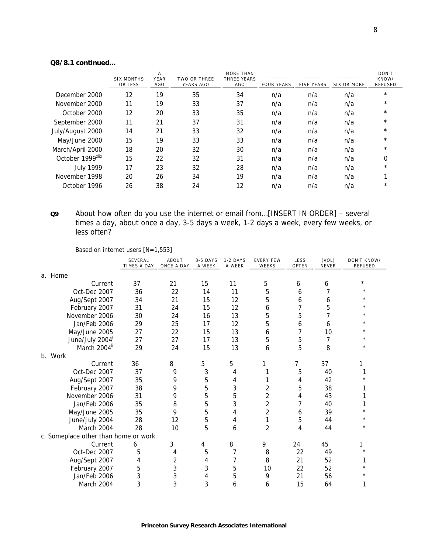## **Q8/8.1 continued…**

|                  | <b>SIX MONTHS</b><br>OR LESS | Α<br>YEAR<br>AGO | <b>TWO OR THREE</b><br>YEARS AGO | <b>MORE THAN</b><br>THREE YEARS<br>AGO | <b>FOUR YEARS</b> | <b>FIVE YEARS</b> | SIX OR MORE | DON'T<br>KNOW/<br><b>REFUSED</b> |
|------------------|------------------------------|------------------|----------------------------------|----------------------------------------|-------------------|-------------------|-------------|----------------------------------|
| December 2000    | 12                           | 19               | 35                               | 34                                     | n/a               | n/a               | n/a         | $\star$                          |
| November 2000    | 11                           | 19               | 33                               | 37                                     | n/a               | n/a               | n/a         | $\star$                          |
| October 2000     | 12                           | 20               | 33                               | 35                                     | n/a               | n/a               | n/a         | $\star$                          |
| September 2000   | 11                           | 21               | 37                               | 31                                     | n/a               | n/a               | n/a         | $\star$                          |
| July/August 2000 | 14                           | 21               | 33                               | 32                                     | n/a               | n/a               | n/a         | $\star$                          |
| May/June 2000    | 15                           | 19               | 33                               | 33                                     | n/a               | n/a               | n/a         | $\star$                          |
| March/April 2000 | 18                           | 20               | 32                               | 30                                     | n/a               | n/a               | n/a         | $\star$                          |
| October 1999xlix | 15                           | 22               | 32                               | 31                                     | n/a               | n/a               | n/a         | 0                                |
| <b>July 1999</b> | 17                           | 23               | 32                               | 28                                     | n/a               | n/a               | n/a         | $\star$                          |
| November 1998    | 20                           | 26               | 34                               | 19                                     | n/a               | n/a               | n/a         |                                  |
| October 1996     | 26                           | 38               | 24                               | 12                                     | n/a               | n/a               | n/a         | $\star$                          |

**Q9** About how often do you use the internet or email from…[INSERT IN ORDER] – several times a day, about once a day, 3-5 days a week, 1-2 days a week, every few weeks, or less often?

Based on internet users [N=1,553]

|                                      | SEVERAL<br>TIMES A DAY | ABOUT<br>ONCE A DAY | 3-5 DAYS<br>A WEEK | 1-2 DAYS<br>A WEEK | <b>EVERY FEW</b><br>WEEKS | LESS<br>OFTEN | (VOL)<br>NEVER | DON'T KNOW/<br><b>REFUSED</b> |
|--------------------------------------|------------------------|---------------------|--------------------|--------------------|---------------------------|---------------|----------------|-------------------------------|
| a. Home                              |                        |                     |                    |                    |                           |               |                |                               |
| Current                              | 37                     | 21                  | 15                 | 11                 | 5                         | 6             | 6              | $^\star$                      |
| Oct-Dec 2007                         | 36                     | 22                  | 14                 | 11                 | 5                         | 6             |                | $^\star$                      |
| Aug/Sept 2007                        | 34                     | 21                  | 15                 | 12                 | 5                         | 6             | 6              | $^\star$                      |
| February 2007                        | 31                     | 24                  | 15                 | 12                 | 6                         | 7             | 5              | $^\star$                      |
| November 2006                        | 30                     | 24                  | 16                 | 13                 | 5                         | 5             |                | $\star$                       |
| Jan/Feb 2006                         | 29                     | 25                  | 17                 | 12                 | 5                         | 6             | 6              | $^\star$                      |
| May/June 2005                        | 27                     | 22                  | 15                 | 13                 | 6                         | 7             | 10             | $^\star$                      |
| June/July 2004                       | 27                     | 27                  | 17                 | 13                 | 5                         | 5             | 7              | $^\star$                      |
| March 2004 <sup>li</sup>             | 29                     | 24                  | 15                 | 13                 | 6                         | 5             | 8              | $^\star$                      |
| b. Work                              |                        |                     |                    |                    |                           |               |                |                               |
| Current                              | 36                     | 8                   | 5                  | 5                  |                           | 7             | 37             |                               |
| Oct-Dec 2007                         | 37                     | 9                   | 3                  | 4                  |                           | 5             | 40             |                               |
| Aug/Sept 2007                        | 35                     | 9                   | 5                  | 4                  |                           | 4             | 42             | $^\star$                      |
| February 2007                        | 38                     | 9                   | 5                  | 3                  | 2                         | 5             | 38             |                               |
| November 2006                        | 31                     | 9                   | 5                  | 5                  | 2                         | 4             | 43             |                               |
| Jan/Feb 2006                         | 35                     | 8                   | 5                  | 3                  | $\overline{2}$            | 7             | 40             | 1                             |
| May/June 2005                        | 35                     | 9                   | 5                  | 4                  | 2                         | 6             | 39             | $^\star$                      |
| June/July 2004                       | 28                     | 12                  | 5                  | 4                  | 1                         | 5             | 44             | $^\star$                      |
| March 2004                           | 28                     | 10                  | 5                  | 6                  | $\overline{2}$            | 4             | 44             | $^\star$                      |
| c. Someplace other than home or work |                        |                     |                    |                    |                           |               |                |                               |
| Current                              | 6                      | 3                   | 4                  | 8                  | 9                         | 24            | 45             |                               |
| Oct-Dec 2007                         | 5                      | 4                   | 5                  | 7                  | 8                         | 22            | 49             | $^\star$                      |
| Aug/Sept 2007                        | 4                      | 2                   | 4                  | 7                  | 8                         | 21            | 52             | 1                             |
| February 2007                        | 5                      | 3                   | 3                  | 5                  | 10                        | 22            | 52             | $^\star$                      |
| Jan/Feb 2006                         | 3                      | 3                   | 4                  | 5                  | 9                         | 21            | 56             | $^\star$                      |
| March 2004                           | 3                      | 3                   | 3                  | 6                  | 6                         | 15            | 64             | 1                             |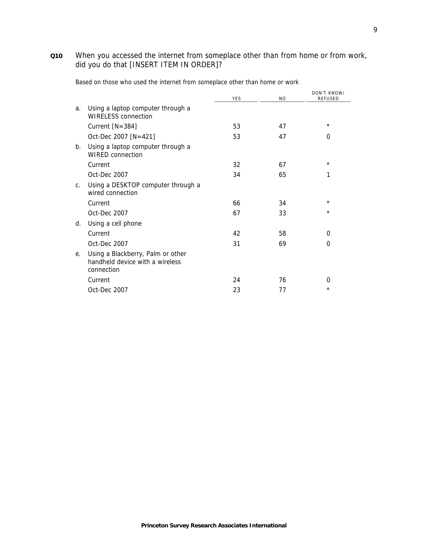# **Q10** When you accessed the internet from someplace other than from home or from work, did you do that [INSERT ITEM IN ORDER]?

|                |                                                                                    | <b>YES</b> | N <sub>O</sub> | DON'T KNOW/<br><b>REFUSED</b> |
|----------------|------------------------------------------------------------------------------------|------------|----------------|-------------------------------|
| a.             | Using a laptop computer through a<br><b>WIRELESS</b> connection                    |            |                |                               |
|                | Current [N=384]                                                                    | 53         | 47             | $^\star$                      |
|                | Oct-Dec 2007 [N=421]                                                               | 53         | 47             | 0                             |
| b.             | Using a laptop computer through a<br><b>WIRED</b> connection                       |            |                |                               |
|                | Current                                                                            | 32         | 67             | $^\star$                      |
|                | Oct-Dec 2007                                                                       | 34         | 65             | 1                             |
| $\mathsf{C}$ . | Using a DESKTOP computer through a<br>wired connection                             |            |                |                               |
|                | Current                                                                            | 66         | 34             | $^\star$                      |
|                | Oct-Dec 2007                                                                       | 67         | 33             | $\star$                       |
| d.             | Using a cell phone                                                                 |            |                |                               |
|                | Current                                                                            | 42         | 58             | 0                             |
|                | Oct-Dec 2007                                                                       | 31         | 69             | $\Omega$                      |
| е.             | Using a Blackberry, Palm or other<br>handheld device with a wireless<br>connection |            |                |                               |
|                | Current                                                                            | 24         | 76             | 0                             |
|                | Oct-Dec 2007                                                                       | 23         | 77             | $\star$                       |

Based on those who used the internet from someplace other than home or work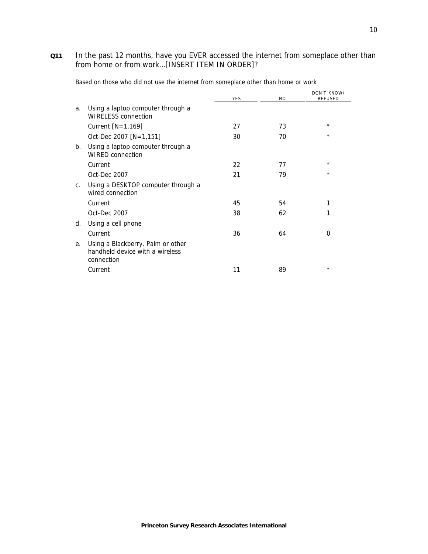### **Q11** In the past 12 months, have you EVER accessed the internet from someplace other than from home or from work…[INSERT ITEM IN ORDER]?

|                |                                                                                    |            |                | DON'T KNOW/    |
|----------------|------------------------------------------------------------------------------------|------------|----------------|----------------|
|                |                                                                                    | <b>YES</b> | N <sub>O</sub> | <b>REFUSED</b> |
| a.             | Using a laptop computer through a<br>WIRELESS connection                           |            |                |                |
|                | Current $[N=1,169]$                                                                | 27         | 73             | $^\star$       |
|                | Oct-Dec 2007 [N=1,151]                                                             | 30         | 70             | $\star$        |
| b.             | Using a laptop computer through a<br><b>WIRED connection</b>                       |            |                |                |
|                | Current                                                                            | 22         | 77             | $^\star$       |
|                | Oct-Dec 2007                                                                       | 21         | 79             | $\star$        |
| C <sub>1</sub> | Using a DESKTOP computer through a<br>wired connection                             |            |                |                |
|                | Current                                                                            | 45         | 54             | 1              |
|                | Oct-Dec 2007                                                                       | 38         | 62             | 1              |
| d.             | Using a cell phone                                                                 |            |                |                |
|                | Current                                                                            | 36         | 64             | 0              |
| е.             | Using a Blackberry, Palm or other<br>handheld device with a wireless<br>connection |            |                |                |
|                | Current                                                                            | 11         | 89             | $\star$        |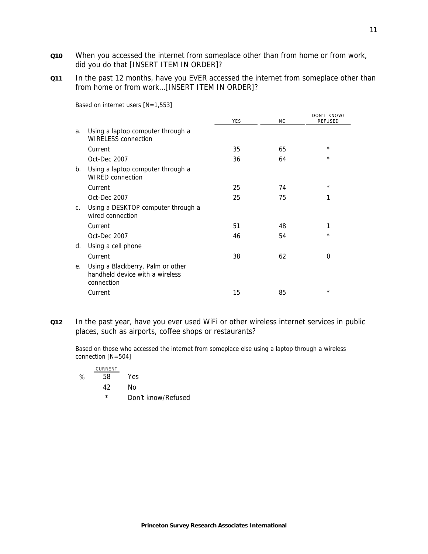- **Q10** When you accessed the internet from someplace other than from home or from work, did you do that [INSERT ITEM IN ORDER]?
- **Q11** In the past 12 months, have you EVER accessed the internet from someplace other than from home or from work…[INSERT ITEM IN ORDER]?

|                                                                                    | <b>YES</b> | N <sub>O</sub> | DON'T KNOW/<br><b>REFUSED</b> |
|------------------------------------------------------------------------------------|------------|----------------|-------------------------------|
| Using a laptop computer through a<br><b>WIRELESS</b> connection                    |            |                |                               |
| Current                                                                            | 35         | 65             | $\star$                       |
| Oct-Dec 2007                                                                       | 36         | 64             | $^\star$                      |
| Using a laptop computer through a<br><b>WIRED connection</b>                       |            |                |                               |
| Current                                                                            | 25         | 74             | $^\star$                      |
| Oct-Dec 2007                                                                       | 25         | 75             | 1                             |
| Using a DESKTOP computer through a<br>wired connection                             |            |                |                               |
| Current                                                                            | 51         | 48             | 1                             |
| Oct-Dec 2007                                                                       | 46         | 54             | $\star$                       |
| Using a cell phone                                                                 |            |                |                               |
| Current                                                                            | 38         | 62             | 0                             |
| Using a Blackberry, Palm or other<br>handheld device with a wireless<br>connection |            |                |                               |
| Current                                                                            | 15         | 85             | $\star$                       |
|                                                                                    |            |                |                               |

Based on internet users [N=1,553]

**Q12** In the past year, have you ever used WiFi or other wireless internet services in public places, such as airports, coffee shops or restaurants?

Based on those who accessed the internet from someplace else using a laptop through a wireless connection [N=504]

|   | CURRENT  |                    |
|---|----------|--------------------|
| ℅ | 58       | Yes                |
|   | 42       | Nο                 |
|   | $^\star$ | Don't know/Refused |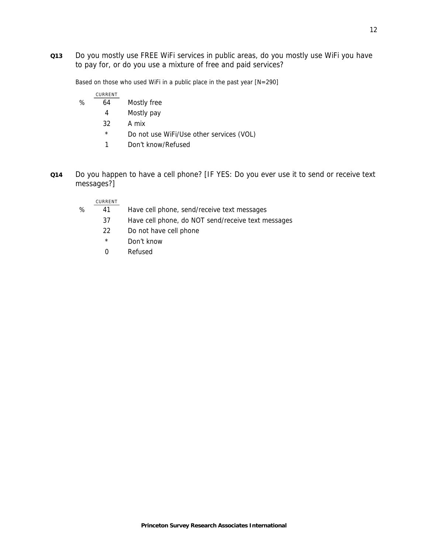**Q13** Do you mostly use FREE WiFi services in public areas, do you mostly use WiFi you have to pay for, or do you use a mixture of free and paid services?

Based on those who used WiFi in a public place in the past year [N=290]

|   | CURRENT |             |
|---|---------|-------------|
| % | 64      | Mostly free |

- 4 Mostly pay
- 32 A mix
- \* Do not use WiFi/Use other services (VOL)
- 1 Don't know/Refused
- **Q14** Do you happen to have a cell phone? [IF YES: Do you ever use it to send or receive text messages?]

### CURRENT

- % 41 Have cell phone, send/receive text messages
	- 37 Have cell phone, do NOT send/receive text messages
	- 22 Do not have cell phone
	- \* Don't know
	- 0 Refused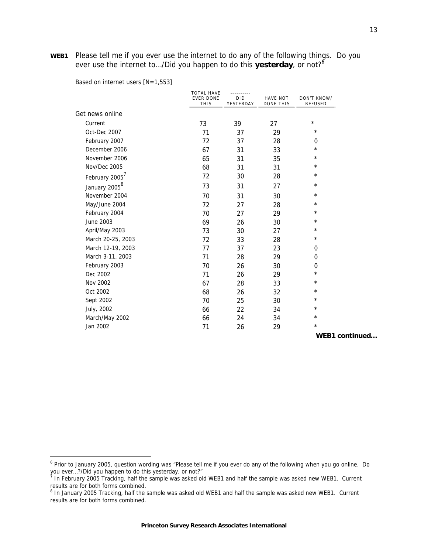**WEB1** Please tell me if you ever use the internet to do any of the following things. Do you ever use the internet to…/Did you happen to do this **yesterday**, or not?<sup>6</sup>

Based on internet users [N=1,553]

j

|                           | <b>TOTAL HAVE</b><br><b>EVER DONE</b><br><b>THIS</b> | <br><b>DID</b><br>YESTERDAY | <b>HAVE NOT</b><br>DONE THIS | DON'T KNOW/<br>REFUSED |
|---------------------------|------------------------------------------------------|-----------------------------|------------------------------|------------------------|
| Get news online           |                                                      |                             |                              |                        |
| Current                   | 73                                                   | 39                          | 27                           | $\star$                |
| Oct-Dec 2007              | 71                                                   | 37                          | 29                           | $\star$                |
| February 2007             | 72                                                   | 37                          | 28                           | 0                      |
| December 2006             | 67                                                   | 31                          | 33                           | $^\star$               |
| November 2006             | 65                                                   | 31                          | 35                           | $^\star$               |
| Nov/Dec 2005              | 68                                                   | 31                          | 31                           | $^\star$               |
| February 2005             | 72                                                   | 30                          | 28                           | $^\star$               |
| January 2005 <sup>8</sup> | 73                                                   | 31                          | 27                           | $^\star$               |
| November 2004             | 70                                                   | 31                          | 30                           | $^\star$               |
| May/June 2004             | 72                                                   | 27                          | 28                           | $^\star$               |
| February 2004             | 70                                                   | 27                          | 29                           | $^\star$               |
| June 2003                 | 69                                                   | 26                          | 30                           | $^\star$               |
| April/May 2003            | 73                                                   | 30                          | 27                           | $^\star$               |
| March 20-25, 2003         | 72                                                   | 33                          | 28                           | $^\star$               |
| March 12-19, 2003         | 77                                                   | 37                          | 23                           | 0                      |
| March 3-11, 2003          | 71                                                   | 28                          | 29                           | 0                      |
| February 2003             | 70                                                   | 26                          | 30                           | 0                      |
| Dec 2002                  | 71                                                   | 26                          | 29                           | $^\star$               |
| Nov 2002                  | 67                                                   | 28                          | 33                           | $\star$                |
| Oct 2002                  | 68                                                   | 26                          | 32                           | $^\star$               |
| Sept 2002                 | 70                                                   | 25                          | 30                           | $^\star$               |
| July, 2002                | 66                                                   | 22                          | 34                           | $^\star$               |
| March/May 2002            | 66                                                   | 24                          | 34                           | $^\star$               |
| Jan 2002                  | 71                                                   | 26                          | 29                           | $\star$                |

**WEB1 continued…**

<sup>&</sup>lt;sup>6</sup> Prior to January 2005, question wording was "Please tell me if you ever do any of the following when you go online. Do you ever…?/Did you happen to do this yesterday, or not?" 7 In February 2005 Tracking, half the sample was asked old WEB1 and half the sample was asked new WEB1. Current

results are for both forms combined.

<sup>&</sup>lt;sup>8</sup> In January 2005 Tracking, half the sample was asked old WEB1 and half the sample was asked new WEB1. Current results are for both forms combined.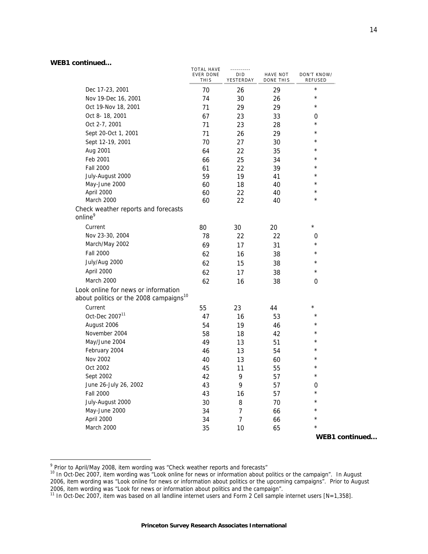|                                                                                           | <b>TOTAL HAVE</b><br><b>EVER DONE</b><br><b>THIS</b> | <u></u><br>DID<br>YESTERDAY | HAVE NOT<br>DONE THIS | DON'T KNOW/<br><b>REFUSED</b> |
|-------------------------------------------------------------------------------------------|------------------------------------------------------|-----------------------------|-----------------------|-------------------------------|
| Dec 17-23, 2001                                                                           | 70                                                   | 26                          | 29                    | $\star$                       |
| Nov 19-Dec 16, 2001                                                                       | 74                                                   | 30                          | 26                    | $^\star$                      |
| Oct 19-Nov 18, 2001                                                                       | 71                                                   | 29                          | 29                    | $^\star$                      |
| Oct 8-18, 2001                                                                            | 67                                                   | 23                          | 33                    | 0                             |
| Oct 2-7, 2001                                                                             | 71                                                   | 23                          | 28                    | $^\star$                      |
| Sept 20-Oct 1, 2001                                                                       | 71                                                   | 26                          | 29                    | $^\star$                      |
| Sept 12-19, 2001                                                                          | 70                                                   | 27                          | 30                    | ¥                             |
| Aug 2001                                                                                  | 64                                                   | 22                          | 35                    | $^\star$                      |
| Feb 2001                                                                                  | 66                                                   | 25                          | 34                    | $^\star$                      |
| <b>Fall 2000</b>                                                                          | 61                                                   | 22                          | 39                    | $\star$                       |
| July-August 2000                                                                          | 59                                                   | 19                          | 41                    | $^\star$                      |
| May-June 2000                                                                             | 60                                                   | 18                          | 40                    | $^\star$                      |
| April 2000                                                                                | 60                                                   | 22                          | 40                    | $\star$                       |
| March 2000                                                                                | 60                                                   | 22                          | 40                    | $^\star$                      |
| Check weather reports and forecasts<br>online <sup>9</sup>                                |                                                      |                             |                       |                               |
| Current                                                                                   | 80                                                   | 30                          | 20                    | $\star$                       |
| Nov 23-30, 2004                                                                           | 78                                                   | 22                          | 22                    | 0                             |
| March/May 2002                                                                            | 69                                                   | 17                          | 31                    | $^\star$                      |
| <b>Fall 2000</b>                                                                          | 62                                                   | 16                          | 38                    | $^\star$                      |
| July/Aug 2000                                                                             | 62                                                   | 15                          | 38                    | $^\star$                      |
| April 2000                                                                                | 62                                                   | 17                          | 38                    | $\star$                       |
| March 2000                                                                                | 62                                                   | 16                          | 38                    | 0                             |
| Look online for news or information<br>about politics or the 2008 campaigns <sup>10</sup> |                                                      |                             |                       |                               |
| Current                                                                                   | 55                                                   | 23                          | 44                    | $^\star$                      |
| Oct-Dec 2007 <sup>11</sup>                                                                | 47                                                   | 16                          | 53                    | $\star$                       |
| August 2006                                                                               | 54                                                   | 19                          | 46                    | $^\star$                      |
| November 2004                                                                             | 58                                                   | 18                          | 42                    | ¥                             |
| May/June 2004                                                                             | 49                                                   | 13                          | 51                    | $^\star$                      |
| February 2004                                                                             | 46                                                   | 13                          | 54                    | $^\star$                      |
| Nov 2002                                                                                  | 40                                                   | 13                          | 60                    | ¥                             |
| Oct 2002                                                                                  | 45                                                   | 11                          | 55                    | $^\star$                      |
| Sept 2002                                                                                 | 42                                                   | 9                           | 57                    | $^\star$                      |
| June 26-July 26, 2002                                                                     | 43                                                   | 9                           | 57                    | 0                             |
| <b>Fall 2000</b>                                                                          | 43                                                   | 16                          | 57                    | $\star$                       |
| July-August 2000                                                                          | 30                                                   | 8                           | 70                    | $\star$                       |
| May-June 2000                                                                             | 34                                                   | $\overline{7}$              | 66                    | $\star$                       |
| April 2000                                                                                | 34                                                   | $\overline{7}$              | 66                    | $^{\star}$                    |
| March 2000                                                                                | 35                                                   | 10                          | 65                    | $\star$                       |
|                                                                                           |                                                      |                             |                       | WEB1 continued                |

<sup>9&</sup>lt;br>Prior to April/May 2008, item wording was "Check weather reports and forecasts"<br><sup>10</sup> In Oct-Dec 2007, item wording was "Look online for news or information about politics or the campaign". In August 2006, item wording was "Look online for news or information about politics or the upcoming campaigns". Prior to August 2006, item wording was "Look for news or information about politics and the campaign".

<sup>&</sup>lt;sup>11</sup> In Oct-Dec 2007, item was based on all landline internet users and Form 2 Cell sample internet users [N=1,358].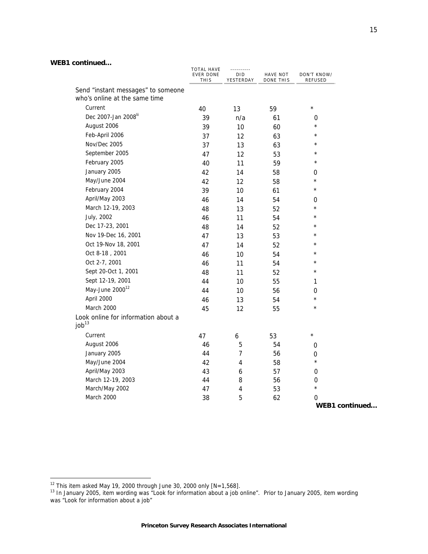| <u>commune</u> a                    |                                                      |                                    |                       |                               |
|-------------------------------------|------------------------------------------------------|------------------------------------|-----------------------|-------------------------------|
|                                     | <b>TOTAL HAVE</b><br><b>EVER DONE</b><br><b>THIS</b> | <u></u><br><b>DID</b><br>YESTERDAY | HAVE NOT<br>DONE THIS | DON'T KNOW/<br><b>REFUSED</b> |
| Send "instant messages" to someone  |                                                      |                                    |                       |                               |
| who's online at the same time       |                                                      |                                    |                       |                               |
| Current                             | 40                                                   | 13                                 | 59                    | $\star$                       |
| Dec 2007-Jan 2008 <sup>lii</sup>    | 39                                                   | n/a                                | 61                    | $\boldsymbol{0}$              |
| August 2006                         | 39                                                   | 10                                 | 60                    | $\star$                       |
| Feb-April 2006                      | 37                                                   | 12                                 | 63                    | $\star$                       |
| Nov/Dec 2005                        | 37                                                   | 13                                 | 63                    | $\star$                       |
| September 2005                      | 47                                                   | 12                                 | 53                    | $\star$                       |
| February 2005                       | 40                                                   | 11                                 | 59                    | $^\star$                      |
| January 2005                        | 42                                                   | 14                                 | 58                    | 0                             |
| May/June 2004                       | 42                                                   | $12 \overline{ }$                  | 58                    | $\star$                       |
| February 2004                       | 39                                                   | 10                                 | 61                    | $\star$                       |
| April/May 2003                      | 46                                                   | 14                                 | 54                    | 0                             |
| March 12-19, 2003                   | 48                                                   | 13                                 | 52                    | $\star$                       |
| July, 2002                          | 46                                                   | 11                                 | 54                    | $\star$                       |
| Dec 17-23, 2001                     | 48                                                   | 14                                 | 52                    | $\star$                       |
| Nov 19-Dec 16, 2001                 | 47                                                   | 13                                 | 53                    | $\star$                       |
| Oct 19-Nov 18, 2001                 | 47                                                   | 14                                 | 52                    | $\star$                       |
| Oct 8-18, 2001                      | 46                                                   | 10                                 | 54                    | $\star$                       |
| Oct 2-7, 2001                       | 46                                                   | 11                                 | 54                    | $\star$                       |
| Sept 20-Oct 1, 2001                 | 48                                                   | 11                                 | 52                    | $\star$                       |
| Sept 12-19, 2001                    | 44                                                   | 10                                 | 55                    | 1                             |
| May-June 2000 <sup>12</sup>         | 44                                                   | 10                                 | 56                    | 0                             |
| April 2000                          | 46                                                   | 13                                 | 54                    | $\star$                       |
| March 2000                          | 45                                                   | 12                                 | 55                    | $\star$                       |
| Look online for information about a |                                                      |                                    |                       |                               |
| job <sup>13</sup>                   |                                                      |                                    |                       |                               |
| Current                             | 47                                                   | 6                                  | 53                    | $\star$                       |
| August 2006                         | 46                                                   | 5                                  | 54                    | $\boldsymbol{0}$              |
| January 2005                        | 44                                                   | 7                                  | 56                    | $\boldsymbol{0}$              |
| May/June 2004                       | 42                                                   | $\overline{\mathbf{4}}$            | 58                    | $^\star$                      |
| April/May 2003                      | 43                                                   | 6                                  | 57                    | $\boldsymbol{0}$              |
| March 12-19, 2003                   | 44                                                   | 8                                  | 56                    | $\boldsymbol{0}$              |
| March/May 2002                      | 47                                                   | 4                                  | 53                    | $^\star$                      |
| March 2000                          | 38                                                   | 5                                  | 62                    | 0                             |

j

 $12$  This item asked May 19, 2000 through June 30, 2000 only  $[N=1,568]$ .

<sup>&</sup>lt;sup>13</sup> In January 2005, item wording was "Look for information about a job online". Prior to January 2005, item wording was "Look for information about a job"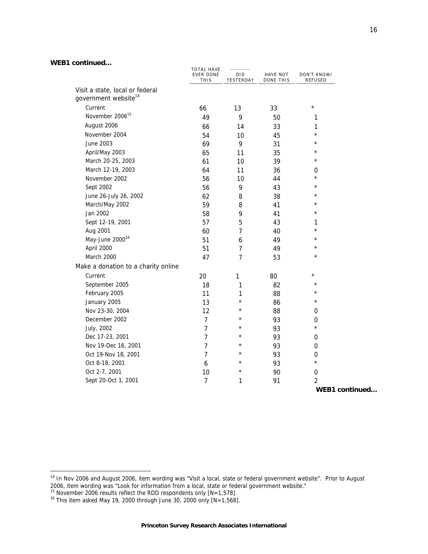| uunnnuuu                                                            | <b>TOTAL HAVE</b><br><b>EVER DONE</b><br><b>THIS</b> | .<br><b>DID</b><br>YESTERDAY | HAVE NOT<br>DONE THIS | DON'T KNOW/<br><b>REFUSED</b> |
|---------------------------------------------------------------------|------------------------------------------------------|------------------------------|-----------------------|-------------------------------|
| Visit a state, local or federal<br>government website <sup>14</sup> |                                                      |                              |                       |                               |
| Current                                                             | 66                                                   | 13                           | 33                    | $\star$                       |
| November 2006 <sup>15</sup>                                         | 49                                                   | 9                            | 50                    | 1                             |
| August 2006                                                         | 66                                                   | 14                           | 33                    | 1                             |
| November 2004                                                       | 54                                                   | 10                           | 45                    | $\star$                       |
| June 2003                                                           | 69                                                   | 9                            | 31                    | $^\star$                      |
| April/May 2003                                                      | 65                                                   | 11                           | 35                    | $\star$                       |
| March 20-25, 2003                                                   | 61                                                   | 10                           | 39                    | $\star$                       |
| March 12-19, 2003                                                   | 64                                                   | 11                           | 36                    | 0                             |
| November 2002                                                       | 56                                                   | 10                           | 44                    | $\star$                       |
| Sept 2002                                                           | 56                                                   | 9                            | 43                    | $\star$                       |
| June 26-July 26, 2002                                               | 62                                                   | 8                            | 38                    | $^\star$                      |
| March/May 2002                                                      | 59                                                   | 8                            | 41                    | $^\star$                      |
| Jan 2002                                                            | 58                                                   | 9                            | 41                    | $\star$                       |
| Sept 12-19, 2001                                                    | 57                                                   | 5                            | 43                    | 1                             |
| Aug 2001                                                            | 60                                                   | $\overline{7}$               | 40                    | $^{\star}$                    |
| May-June 2000 <sup>16</sup>                                         | 51                                                   | 6                            | 49                    | $\star$                       |
| April 2000                                                          | 51                                                   | $\overline{7}$               | 49                    | $^\star$                      |
| March 2000                                                          | 47                                                   | $\overline{7}$               | 53                    | $^\star$                      |
| Make a donation to a charity online                                 |                                                      |                              |                       |                               |
| Current                                                             | 20                                                   | 1                            | 80                    | $\star$                       |
| September 2005                                                      | 18                                                   | 1                            | 82                    | $^{\star}$                    |
| February 2005                                                       | 11                                                   | 1                            | 88                    | $\star$                       |
| January 2005                                                        | 13                                                   | $\star$                      | 86                    | $^\star$                      |
| Nov 23-30, 2004                                                     | 12                                                   | $^\star$                     | 88                    | 0                             |
| December 2002                                                       | $\overline{7}$                                       | $^\star$                     | 93                    | $\boldsymbol{0}$              |
| July, 2002                                                          | $\overline{7}$                                       | $^\star$                     | 93                    | $\star$                       |
| Dec 17-23, 2001                                                     | $\overline{7}$                                       | $^\star$                     | 93                    | $\mathbf 0$                   |
| Nov 19-Dec 16, 2001                                                 | $\overline{7}$                                       | $^\star$                     | 93                    | $\mathbf 0$                   |
| Oct 19-Nov 18, 2001                                                 | $\overline{7}$                                       | $^\star$                     | 93                    | $\mathbf 0$                   |
| Oct 8-18, 2001                                                      | 6                                                    | $^\star$                     | 93                    | $\star$                       |
| Oct 2-7, 2001                                                       | 10                                                   | $^\star$                     | 90                    | $\boldsymbol{0}$              |
| Sept 20-Oct 1, 2001                                                 | $\overline{7}$                                       | 1                            | 91                    | $\overline{2}$                |
|                                                                     |                                                      |                              |                       | MFAA                          |

**WEB1 continued…**

j

<sup>&</sup>lt;sup>14</sup> In Nov 2006 and August 2006, item wording was "Visit a local, state or federal government website". Prior to August 2006, item wording was "Look for information from a local, state or federal government website."<br><sup>15</sup> November 2006 results reflect the RDD respondents only [N=1,578].<br><sup>16</sup> This item asked May 19, 2000 through June 30, 200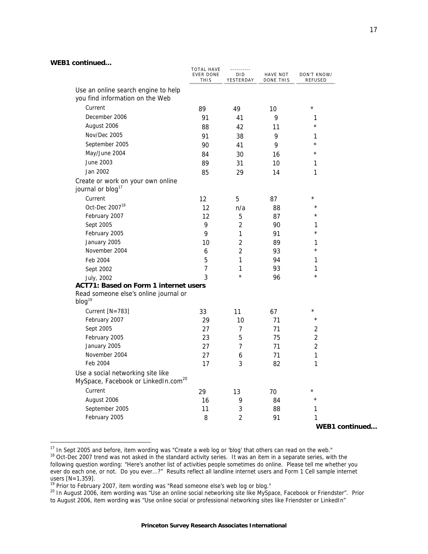$\overline{a}$ 

|                                                                                      | <b>TOTAL HAVE</b><br>EVER DONE<br>THIS | <b>DID</b><br>YESTERDAY | HAVE NOT<br>DONE THIS | DON'T KNOW/<br><b>REFUSED</b> |
|--------------------------------------------------------------------------------------|----------------------------------------|-------------------------|-----------------------|-------------------------------|
| Use an online search engine to help                                                  |                                        |                         |                       |                               |
| you find information on the Web                                                      |                                        |                         |                       |                               |
| Current                                                                              | 89                                     | 49                      | 10                    | $\star$                       |
| December 2006                                                                        | 91                                     | 41                      | 9                     | 1                             |
| August 2006                                                                          | 88                                     | 42                      | 11                    | $^{\star}$                    |
| Nov/Dec 2005                                                                         | 91                                     | 38                      | 9                     | 1                             |
| September 2005                                                                       | 90                                     | 41                      | 9                     | $\star$                       |
| May/June 2004                                                                        | 84                                     | 30                      | 16                    | $\star$                       |
| June 2003                                                                            | 89                                     | 31                      | 10                    | 1                             |
| Jan 2002                                                                             | 85                                     | 29                      | 14                    | 1                             |
| Create or work on your own online                                                    |                                        |                         |                       |                               |
| journal or blog <sup>17</sup>                                                        |                                        |                         |                       |                               |
| Current                                                                              | 12                                     | 5                       | 87                    | $\star$                       |
| Oct-Dec 2007 <sup>18</sup>                                                           | 12                                     | n/a                     | 88                    | $\star$                       |
| February 2007                                                                        | 12                                     | 5                       | 87                    | $\star$                       |
| Sept 2005                                                                            | 9                                      | $\overline{2}$          | 90                    | 1                             |
| February 2005                                                                        | 9                                      | 1                       | 91                    | $\star$                       |
| January 2005                                                                         | 10                                     | $\overline{2}$          | 89                    | 1                             |
| November 2004                                                                        | 6                                      | $\overline{2}$          | 93                    | $\star$                       |
| Feb 2004                                                                             | 5                                      | 1                       | 94                    | 1                             |
| Sept 2002                                                                            | $\overline{7}$                         | 1                       | 93                    | 1                             |
| July, 2002                                                                           | 3                                      | $\star$                 | 96                    | $\star$                       |
| ACT71: Based on Form 1 internet users                                                |                                        |                         |                       |                               |
| Read someone else's online journal or<br>$b \log^{19}$                               |                                        |                         |                       |                               |
| Current $[N=783]$                                                                    | 33                                     | 11                      | 67                    | $\star$                       |
| February 2007                                                                        | 29                                     | 10                      | 71                    | $\star$                       |
| Sept 2005                                                                            | 27                                     | 7                       | 71                    | $\overline{2}$                |
| February 2005                                                                        | 23                                     | 5                       | 75                    | $\overline{2}$                |
| January 2005                                                                         | 27                                     | $\overline{7}$          | 71                    | $\overline{2}$                |
| November 2004                                                                        | 27                                     | 6                       | 71                    | 1                             |
| Feb 2004                                                                             | 17                                     | 3                       | 82                    | 1                             |
| Use a social networking site like<br>MySpace, Facebook or LinkedIn.com <sup>20</sup> |                                        |                         |                       |                               |
| Current                                                                              | 29                                     | 13                      | 70                    | $^{\star}$                    |
| August 2006                                                                          | 16                                     | 9                       | 84                    | $\star$                       |
| September 2005                                                                       | 11                                     | $\mathsf 3$             | 88                    | 1                             |
| February 2005                                                                        | 8                                      | 2                       | 91                    | 1                             |
|                                                                                      |                                        |                         |                       | WEB1 continued                |

 $17$  In Sept 2005 and before, item wording was "Create a web log or 'blog' that others can read on the web."

<sup>&</sup>lt;sup>18</sup> Oct-Dec 2007 trend was not asked in the standard activity series. It was an item in a separate series, with the following question wording: "Here's another list of activities people sometimes do online. Please tell me whether you ever do each one, or not. Do you ever...?" Results reflect all landline internet users and Form 1 Cell sample internet users [N=1,359].<br><sup>19</sup> Prior to February 2007, item wording was "Read someone else's web log or blog."

<sup>&</sup>lt;sup>20</sup> In August 2006, item wording was "Use an online social networking site like MySpace, Facebook or Friendster". Prior to August 2006, item wording was "Use online social or professional networking sites like Friendster or LinkedIn"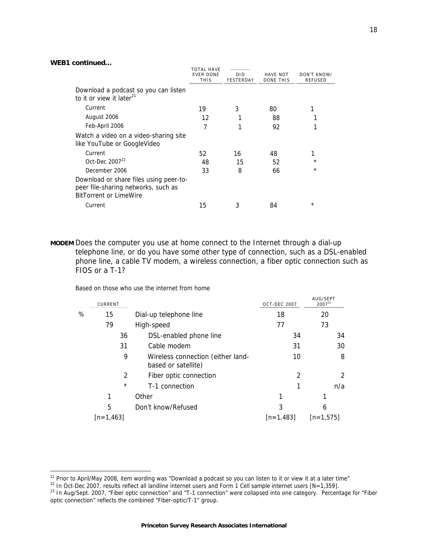j

|                                                                                                                | <b>TOTAL HAVE</b>               |                         |                              |                               |
|----------------------------------------------------------------------------------------------------------------|---------------------------------|-------------------------|------------------------------|-------------------------------|
|                                                                                                                | <b>EVER DONE</b><br><b>THIS</b> | <b>DID</b><br>YESTERDAY | HAVE NOT<br><b>DONE THIS</b> | DON'T KNOW/<br><b>REFUSED</b> |
| Download a podcast so you can listen<br>to it or view it later <sup>21</sup>                                   |                                 |                         |                              |                               |
| Current                                                                                                        | 19                              | 3                       | 80                           |                               |
| August 2006                                                                                                    | 12                              |                         | 88                           |                               |
| Feb-April 2006                                                                                                 | 7                               |                         | 92                           |                               |
| Watch a video on a video-sharing site<br>like YouTube or GoogleVideo                                           |                                 |                         |                              |                               |
| Current                                                                                                        | 52                              | 16                      | 48                           | 1                             |
| Oct-Dec 2007 <sup>22</sup>                                                                                     | 48                              | 15                      | 52                           | $\star$                       |
| December 2006                                                                                                  | 33                              | 8                       | 66                           | $\star$                       |
| Download or share files using peer-to-<br>peer file-sharing networks, such as<br><b>BitTorrent or LimeWire</b> |                                 |                         |                              |                               |
| Current                                                                                                        | 15                              |                         | 84                           | $^\star$                      |

**MODEM** Does the computer you use at home connect to the Internet through a dial-up telephone line, or do you have some other type of connection, such as a DSL-enabled phone line, a cable TV modem, a wireless connection, a fiber optic connection such as FIOS or a T-1?

Based on those who use the internet from home

|   | CURRENT        |                                                          | <b>OCT-DEC 2007</b> | AUG/SEPT<br>$2007^{23}$ |
|---|----------------|----------------------------------------------------------|---------------------|-------------------------|
| % | 15             | Dial-up telephone line                                   | 18                  | 20                      |
|   | 79             | High-speed                                               | 77                  | 73                      |
|   | 36             | DSL-enabled phone line                                   | 34                  | 34                      |
|   | 31             | Cable modem                                              | 31                  | 30                      |
|   | 9              | Wireless connection (either land-<br>based or satellite) | 10                  | 8                       |
|   | $\mathfrak{D}$ | Fiber optic connection                                   | $\mathfrak{p}$      | 2                       |
|   | $\star$        | T-1 connection                                           |                     | n/a                     |
|   | 1              | Other                                                    |                     |                         |
|   | 5              | Don't know/Refused                                       | 3                   | 6                       |
|   | $[n=1,463]$    |                                                          | $[n=1.483]$         | $[n=1.575]$             |

<sup>&</sup>lt;sup>21</sup> Prior to April/May 2008, item wording was "Download a podcast so you can listen to it or view it at a later time"

<sup>&</sup>lt;sup>22</sup> In Oct-Dec 2007, results reflect all landline internet users and Form 1 Cell sample internet users [N=1,359].<br><sup>23</sup> In Aug/Sept. 2007, "Fiber optic connection" and "T-1 connection" were collapsed into one category. Pe optic connection" reflects the combined "Fiber-optic/T-1" group.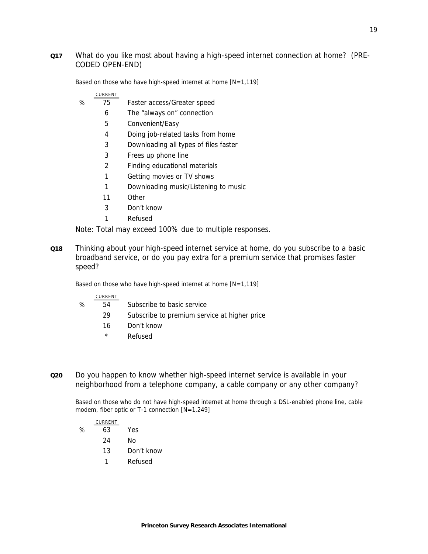## **Q17** What do you like most about having a high-speed internet connection at home? (PRE-CODED OPEN-END)

Based on those who have high-speed internet at home  $[N=1,119]$ 

#### CURRENT

- % 75 Faster access/Greater speed
	- 6 The "always on" connection
		- 5 Convenient/Easy
		- 4 Doing job-related tasks from home
		- 3 Downloading all types of files faster
		- 3 Frees up phone line
	- 2 Finding educational materials
	- 1 Getting movies or TV shows
	- 1 Downloading music/Listening to music
	- 11 Other
	- 3 Don't know
	- 1 Refused

Note: Total may exceed 100% due to multiple responses.

**Q18** Thinking about your high-speed internet service at home, do you subscribe to a basic broadband service, or do you pay extra for a premium service that promises faster speed?

Based on those who have high-speed internet at home  $[N=1,119]$ 

#### CURRENT

- % 54 Subscribe to basic service
	- 29 Subscribe to premium service at higher price
		- 16 Don't know
		- \* Refused
- **Q20** Do you happen to know whether high-speed internet service is available in your neighborhood from a telephone company, a cable company or any other company?

Based on those who do not have high-speed internet at home through a DSL-enabled phone line, cable modem, fiber optic or T-1 connection [N=1,249]

# CURRENT % 63 Yes 24 No

- 13 Don't know
- 1 Refused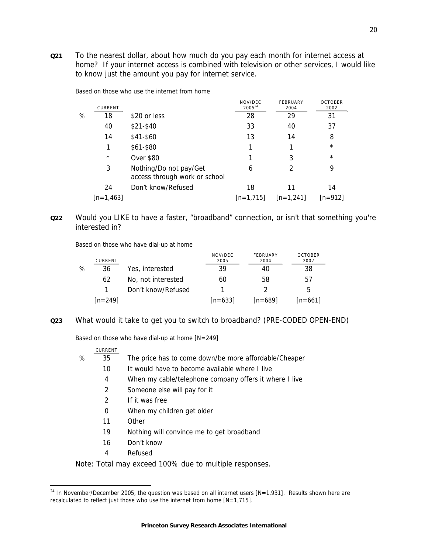**Q21** To the nearest dollar, about how much do you pay each month for internet access at home? If your internet access is combined with television or other services, I would like to know just the amount you pay for internet service.

|   | CURRENT     |                                                         | NOV/DEC<br>$2005^{24}$ | FEBRUARY<br>2004 | <b>OCTOBER</b><br>2002 |
|---|-------------|---------------------------------------------------------|------------------------|------------------|------------------------|
| ℅ | 18          | \$20 or less                                            | 28                     | 29               | 31                     |
|   | 40          | $$21-$40$                                               | 33                     | 40               | 37                     |
|   | 14          | \$41-\$60                                               | 13                     | 14               | 8                      |
|   |             | \$61-\$80                                               |                        |                  | $\star$                |
|   | $\star$     | <b>Over \$80</b>                                        |                        | 3                | $\star$                |
|   | 3           | Nothing/Do not pay/Get<br>access through work or school | 6                      | 2                | 9                      |
|   | 24          | Don't know/Refused                                      | 18                     | 11               | 14                     |
|   | $[n=1,463]$ |                                                         | $[n=1.715]$            | $[n=1,241]$      | $[n=912]$              |

Based on those who use the internet from home

# **Q22** Would you LIKE to have a faster, "broadband" connection, or isn't that something you're interested in?

Based on those who have dial-up at home

|   | CURRENT   |                    | NOV/DEC<br>2005 | FEBRUARY<br>2004 | <b>OCTOBER</b><br>2002 |
|---|-----------|--------------------|-----------------|------------------|------------------------|
| % | 36        | Yes, interested    | 39              | 40               | 38                     |
|   | 62        | No, not interested | 60              | 58               | 57                     |
|   |           | Don't know/Refused |                 |                  | 5                      |
|   | $[n=249]$ |                    | $[n=633]$       | $[n=689]$        | $[n=661]$              |

**Q23** What would it take to get you to switch to broadband? (PRE-CODED OPEN-END)

Based on those who have dial-up at home [N=249]

|   | CURRENT |                                                        |
|---|---------|--------------------------------------------------------|
| % | 35      | The price has to come down/be more affordable/Cheaper  |
|   | 10      | It would have to become available where I live         |
|   | 4       | When my cable/telephone company offers it where I live |
|   | 2       | Someone else will pay for it                           |
|   | 2       | If it was free                                         |
|   | 0       | When my children get older                             |
|   | 11      | Other                                                  |
|   | 19      | Nothing will convince me to get broadband              |
|   | 16      | Don't know                                             |
|   | 4       | Refused                                                |

#### Note: Total may exceed 100% due to multiple responses.

 $\overline{a}$ 

<sup>&</sup>lt;sup>24</sup> In November/December 2005, the question was based on all internet users [N=1,931]. Results shown here are recalculated to reflect just those who use the internet from home [N=1,715].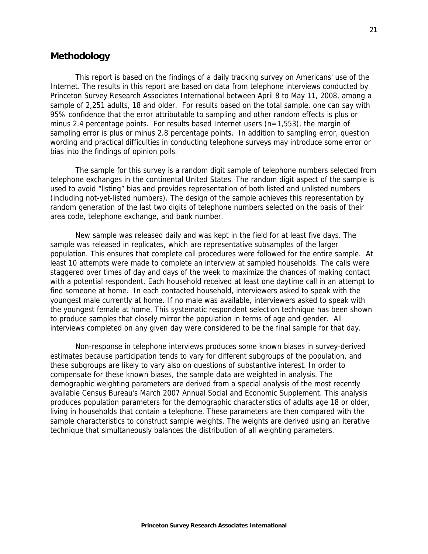# **Methodology**

This report is based on the findings of a daily tracking survey on Americans' use of the Internet. The results in this report are based on data from telephone interviews conducted by Princeton Survey Research Associates International between April 8 to May 11, 2008, among a sample of 2,251 adults, 18 and older. For results based on the total sample, one can say with 95% confidence that the error attributable to sampling and other random effects is plus or minus 2.4 percentage points. For results based Internet users  $(n=1,553)$ , the margin of sampling error is plus or minus 2.8 percentage points. In addition to sampling error, question wording and practical difficulties in conducting telephone surveys may introduce some error or bias into the findings of opinion polls.

The sample for this survey is a random digit sample of telephone numbers selected from telephone exchanges in the continental United States. The random digit aspect of the sample is used to avoid "listing" bias and provides representation of both listed and unlisted numbers (including not-yet-listed numbers). The design of the sample achieves this representation by random generation of the last two digits of telephone numbers selected on the basis of their area code, telephone exchange, and bank number.

New sample was released daily and was kept in the field for at least five days. The sample was released in replicates, which are representative subsamples of the larger population. This ensures that complete call procedures were followed for the entire sample. At least 10 attempts were made to complete an interview at sampled households. The calls were staggered over times of day and days of the week to maximize the chances of making contact with a potential respondent. Each household received at least one daytime call in an attempt to find someone at home. In each contacted household, interviewers asked to speak with the youngest male currently at home. If no male was available, interviewers asked to speak with the youngest female at home. This systematic respondent selection technique has been shown to produce samples that closely mirror the population in terms of age and gender. All interviews completed on any given day were considered to be the final sample for that day.

Non-response in telephone interviews produces some known biases in survey-derived estimates because participation tends to vary for different subgroups of the population, and these subgroups are likely to vary also on questions of substantive interest. In order to compensate for these known biases, the sample data are weighted in analysis. The demographic weighting parameters are derived from a special analysis of the most recently available Census Bureau's March 2007 Annual Social and Economic Supplement. This analysis produces population parameters for the demographic characteristics of adults age 18 or older, living in households that contain a telephone. These parameters are then compared with the sample characteristics to construct sample weights. The weights are derived using an iterative technique that simultaneously balances the distribution of all weighting parameters.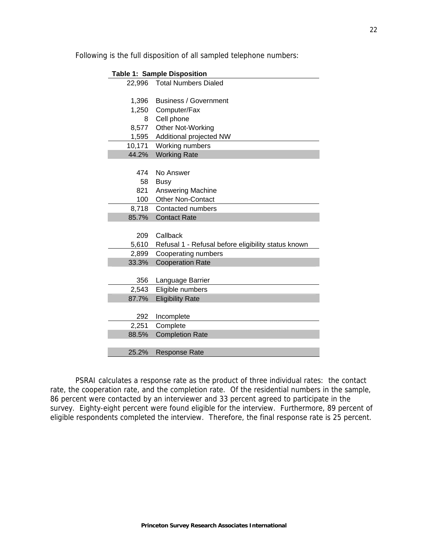|  | Following is the full disposition of all sampled telephone numbers: |
|--|---------------------------------------------------------------------|
|  |                                                                     |

| <b>Table 1: Sample Disposition</b> |                                                           |  |  |  |
|------------------------------------|-----------------------------------------------------------|--|--|--|
| 22,996                             | <b>Total Numbers Dialed</b>                               |  |  |  |
|                                    |                                                           |  |  |  |
| 1,396                              | <b>Business / Government</b>                              |  |  |  |
|                                    | 1,250 Computer/Fax                                        |  |  |  |
| 8                                  | Cell phone                                                |  |  |  |
|                                    | 8,577 Other Not-Working                                   |  |  |  |
| 1,595                              | Additional projected NW                                   |  |  |  |
| 10,171                             | Working numbers                                           |  |  |  |
| 44.2%                              | <b>Working Rate</b>                                       |  |  |  |
|                                    |                                                           |  |  |  |
| 474                                | No Answer                                                 |  |  |  |
| 58                                 | <b>Busy</b>                                               |  |  |  |
| 821                                | <b>Answering Machine</b>                                  |  |  |  |
| 100                                | <b>Other Non-Contact</b>                                  |  |  |  |
| 8,718                              | Contacted numbers                                         |  |  |  |
| 85.7%                              | <b>Contact Rate</b>                                       |  |  |  |
|                                    |                                                           |  |  |  |
| 209                                | Callback                                                  |  |  |  |
|                                    | 5,610 Refusal 1 - Refusal before eligibility status known |  |  |  |
| 2,899                              | Cooperating numbers                                       |  |  |  |
| 33.3%                              | <b>Cooperation Rate</b>                                   |  |  |  |
|                                    |                                                           |  |  |  |
| 356                                | Language Barrier                                          |  |  |  |
| 2,543                              | Eligible numbers                                          |  |  |  |
| 87.7%                              | <b>Eligibility Rate</b>                                   |  |  |  |
|                                    |                                                           |  |  |  |
| 292                                | Incomplete                                                |  |  |  |
| 2,251                              | Complete                                                  |  |  |  |
| 88.5%                              | <b>Completion Rate</b>                                    |  |  |  |
|                                    |                                                           |  |  |  |
| 25.2%                              | <b>Response Rate</b>                                      |  |  |  |

PSRAI calculates a response rate as the product of three individual rates: the contact rate, the cooperation rate, and the completion rate. Of the residential numbers in the sample, 86 percent were contacted by an interviewer and 33 percent agreed to participate in the survey. Eighty-eight percent were found eligible for the interview. Furthermore, 89 percent of eligible respondents completed the interview. Therefore, the final response rate is 25 percent.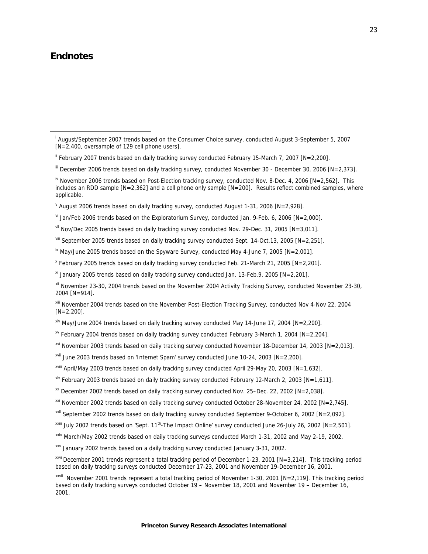# **Endnotes**

- $v<sup>i</sup>$  Jan/Feb 2006 trends based on the Exploratorium Survey, conducted Jan. 9-Feb. 6, 2006 [N=2,000].
- vii Nov/Dec 2005 trends based on daily tracking survey conducted Nov. 29-Dec. 31, 2005 [N=3,011].
- viii September 2005 trends based on daily tracking survey conducted Sept. 14-Oct.13, 2005 [N=2,251].
- $\frac{1}{10}$  May/June 2005 trends based on the Spyware Survey, conducted May 4-June 7, 2005 [N=2,001].
- x February 2005 trends based on daily tracking survey conducted Feb. 21-March 21, 2005 [N=2,201].
- <sup>xi</sup> January 2005 trends based on daily tracking survey conducted Jan. 13-Feb.9, 2005 [N=2,201].
- xii November 23-30, 2004 trends based on the November 2004 Activity Tracking Survey, conducted November 23-30, 2004 [N=914].

xiii November 2004 trends based on the November Post-Election Tracking Survey, conducted Nov 4-Nov 22, 2004  $[N=2,200]$ .

- $x^2$  May/June 2004 trends based on daily tracking survey conducted May 14-June 17, 2004 [N=2,200].
- $\frac{1}{2}$  February 2004 trends based on daily tracking survey conducted February 3-March 1, 2004 [N=2,204].
- xvi November 2003 trends based on daily tracking survey conducted November 18-December 14, 2003 [N=2,013].
- xvii June 2003 trends based on 'Internet Spam' survey conducted June 10-24, 2003 [N=2,200].
- xviii April/May 2003 trends based on daily tracking survey conducted April 29-May 20, 2003 [N=1,632].
- xix February 2003 trends based on daily tracking survey conducted February 12-March 2, 2003 [N=1,611].
- xx December 2002 trends based on daily tracking survey conducted Nov. 25–Dec. 22, 2002  $[N=2,038]$ .
- $\frac{xxi}{xxi}$  November 2002 trends based on daily tracking survey conducted October 28-November 24, 2002 [N=2,745].
- xxii September 2002 trends based on daily tracking survey conducted September 9-October 6, 2002 [N=2,092].
- <sup>xxiii</sup> July 2002 trends based on 'Sept. 11<sup>th</sup>-The Impact Online' survey conducted June 26-July 26, 2002 [N=2,501].
- xxiv March/May 2002 trends based on daily tracking surveys conducted March 1-31, 2002 and May 2-19, 2002.
- xxv January 2002 trends based on a daily tracking survey conducted January 3-31, 2002.
- $x_{xvi}$  December 2001 trends represent a total tracking period of December 1-23, 2001 [N=3,214]. This tracking period based on daily tracking surveys conducted December 17-23, 2001 and November 19-December 16, 2001.

i August/September 2007 trends based on the Consumer Choice survey, conducted August 3-September 5, 2007 [N=2,400, oversample of 129 cell phone users].

ii February 2007 trends based on daily tracking survey conducted February 15-March 7, 2007 [N=2,200].

iii December 2006 trends based on daily tracking survey, conducted November 30 - December 30, 2006 [N=2,373].

 $\frac{N}{N}$  November 2006 trends based on Post-Election tracking survey, conducted Nov. 8-Dec. 4, 2006 [N=2,562]. This includes an RDD sample [N=2,362] and a cell phone only sample [N=200]. Results reflect combined samples, where applicable.

 $\textdegree$  August 2006 trends based on daily tracking survey, conducted August 1-31, 2006 [N=2,928].

xxvii November 2001 trends represent a total tracking period of November 1-30, 2001 [N=2,119]. This tracking period based on daily tracking surveys conducted October 19 – November 18, 2001 and November 19 – December 16, 2001.